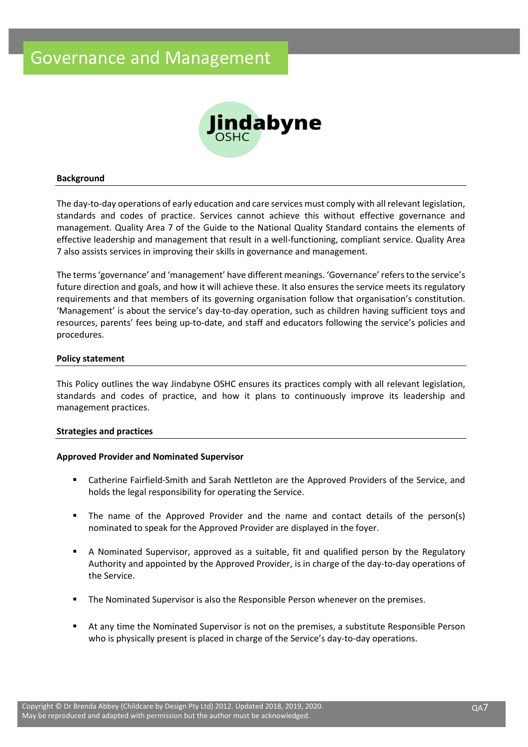

#### **Background**

The day-to-day operations of early education and care services must comply with all relevant legislation, standards and codes of practice. Services cannot achieve this without effective governance and management. Quality Area 7 of the Guide to the National Quality Standard contains the elements of effective leadership and management that result in a well-functioning, compliant service. Quality Area 7 also assists services in improving their skills in governance and management.

The terms 'governance' and 'management' have different meanings. 'Governance' refers to the service's future direction and goals, and how it will achieve these. It also ensures the service meets its regulatory requirements and that members of its governing organisation follow that organisation's constitution. 'Management' is about the service's day-to-day operation, such as children having sufficient toys and resources, parents' fees being up-to-date, and staff and educators following the service's policies and procedures.

#### **Policy statement**

This Policy outlines the way Jindabyne OSHC ensures its practices comply with all relevant legislation, standards and codes of practice, and how it plans to continuously improve its leadership and management practices.

#### **Strategies and practices**

## **Approved Provider and Nominated Supervisor**

- Catherine Fairfield-Smith and Sarah Nettleton are the Approved Providers of the Service, and holds the legal responsibility for operating the Service.
- The name of the Approved Provider and the name and contact details of the person(s) nominated to speak for the Approved Provider are displayed in the foyer.
- A Nominated Supervisor, approved as a suitable, fit and qualified person by the Regulatory Authority and appointed by the Approved Provider, is in charge of the day-to-day operations of the Service.
- The Nominated Supervisor is also the Responsible Person whenever on the premises.
- At any time the Nominated Supervisor is not on the premises, a substitute Responsible Person who is physically present is placed in charge of the Service's day-to-day operations.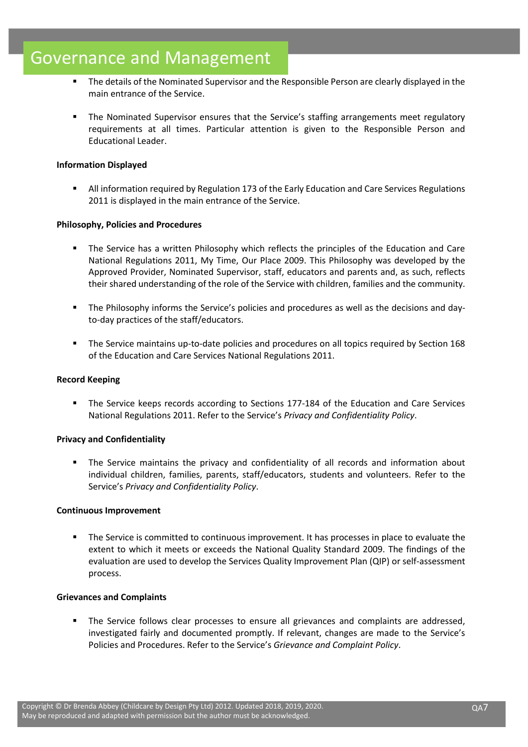# Governance and Management

- The details of the Nominated Supervisor and the Responsible Person are clearly displayed in the main entrance of the Service.
- The Nominated Supervisor ensures that the Service's staffing arrangements meet regulatory requirements at all times. Particular attention is given to the Responsible Person and Educational Leader.

# **Information Displayed**

**E** All information required by Regulation 173 of the Early Education and Care Services Regulations 2011 is displayed in the main entrance of the Service.

## **Philosophy, Policies and Procedures**

- The Service has a written Philosophy which reflects the principles of the Education and Care National Regulations 2011, My Time, Our Place 2009. This Philosophy was developed by the Approved Provider, Nominated Supervisor, staff, educators and parents and, as such, reflects their shared understanding of the role of the Service with children, families and the community.
- The Philosophy informs the Service's policies and procedures as well as the decisions and dayto-day practices of the staff/educators.
- The Service maintains up-to-date policies and procedures on all topics required by Section 168 of the Education and Care Services National Regulations 2011.

## **Record Keeping**

▪ The Service keeps records according to Sections 177-184 of the Education and Care Services National Regulations 2011. Refer to the Service's *Privacy and Confidentiality Policy*.

## **Privacy and Confidentiality**

▪ The Service maintains the privacy and confidentiality of all records and information about individual children, families, parents, staff/educators, students and volunteers. Refer to the Service's *Privacy and Confidentiality Policy*.

## **Continuous Improvement**

The Service is committed to continuous improvement. It has processes in place to evaluate the extent to which it meets or exceeds the National Quality Standard 2009. The findings of the evaluation are used to develop the Services Quality Improvement Plan (QIP) or self-assessment process.

## **Grievances and Complaints**

The Service follows clear processes to ensure all grievances and complaints are addressed, investigated fairly and documented promptly. If relevant, changes are made to the Service's Policies and Procedures. Refer to the Service's *Grievance and Complaint Policy*.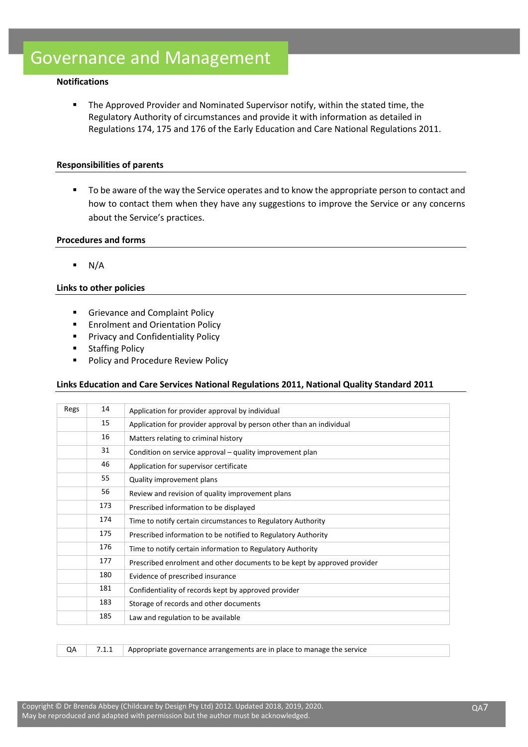## **Notifications**

**•** The Approved Provider and Nominated Supervisor notify, within the stated time, the Regulatory Authority of circumstances and provide it with information as detailed in Regulations 174, 175 and 176 of the Early Education and Care National Regulations 2011.

#### **Responsibilities of parents**

■ To be aware of the way the Service operates and to know the appropriate person to contact and how to contact them when they have any suggestions to improve the Service or any concerns about the Service's practices.

#### **Procedures and forms**

 $\blacksquare$  N/A

#### **Links to other policies**

- Grievance and Complaint Policy
- Enrolment and Orientation Policy
- **■** Privacy and Confidentiality Policy
- Staffing Policy
- Policy and Procedure Review Policy

## **Links Education and Care Services National Regulations 2011, National Quality Standard 2011**

| Regs | 14                                                                              | Application for provider approval by individual                      |  |  |  |
|------|---------------------------------------------------------------------------------|----------------------------------------------------------------------|--|--|--|
|      | 15                                                                              | Application for provider approval by person other than an individual |  |  |  |
|      | 16                                                                              | Matters relating to criminal history                                 |  |  |  |
|      | 31                                                                              | Condition on service approval – quality improvement plan             |  |  |  |
|      | 46                                                                              | Application for supervisor certificate                               |  |  |  |
|      | 55<br>Quality improvement plans                                                 |                                                                      |  |  |  |
|      | 56<br>Review and revision of quality improvement plans                          |                                                                      |  |  |  |
|      | 173                                                                             | Prescribed information to be displayed                               |  |  |  |
|      | 174<br>Time to notify certain circumstances to Regulatory Authority             |                                                                      |  |  |  |
|      | 175                                                                             | Prescribed information to be notified to Regulatory Authority        |  |  |  |
|      | 176                                                                             | Time to notify certain information to Regulatory Authority           |  |  |  |
|      | 177<br>Prescribed enrolment and other documents to be kept by approved provider |                                                                      |  |  |  |
|      | 180<br>Evidence of prescribed insurance                                         |                                                                      |  |  |  |
|      | 181<br>Confidentiality of records kept by approved provider                     |                                                                      |  |  |  |
|      | 183                                                                             | Storage of records and other documents                               |  |  |  |
|      | 185                                                                             | Law and regulation to be available                                   |  |  |  |

QA 7.1.1 Appropriate governance arrangements are in place to manage the service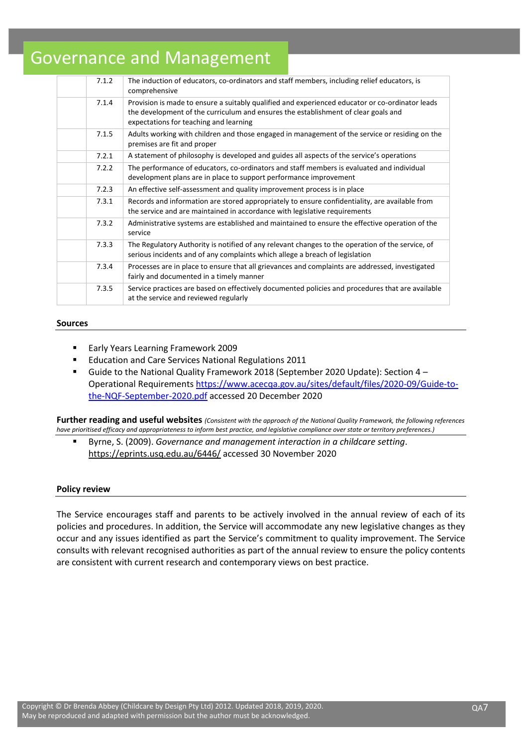# Governance and Management

| 7.1.2 | The induction of educators, co-ordinators and staff members, including relief educators, is<br>comprehensive                                                                                                                    |
|-------|---------------------------------------------------------------------------------------------------------------------------------------------------------------------------------------------------------------------------------|
| 7.1.4 | Provision is made to ensure a suitably qualified and experienced educator or co-ordinator leads<br>the development of the curriculum and ensures the establishment of clear goals and<br>expectations for teaching and learning |
| 7.1.5 | Adults working with children and those engaged in management of the service or residing on the<br>premises are fit and proper                                                                                                   |
| 7.2.1 | A statement of philosophy is developed and guides all aspects of the service's operations                                                                                                                                       |
| 7.2.2 | The performance of educators, co-ordinators and staff members is evaluated and individual<br>development plans are in place to support performance improvement                                                                  |
| 7.2.3 | An effective self-assessment and quality improvement process is in place                                                                                                                                                        |
| 7.3.1 | Records and information are stored appropriately to ensure confidentiality, are available from<br>the service and are maintained in accordance with legislative requirements                                                    |
| 7.3.2 | Administrative systems are established and maintained to ensure the effective operation of the<br>service                                                                                                                       |
| 7.3.3 | The Regulatory Authority is notified of any relevant changes to the operation of the service, of<br>serious incidents and of any complaints which allege a breach of legislation                                                |
| 7.3.4 | Processes are in place to ensure that all grievances and complaints are addressed, investigated<br>fairly and documented in a timely manner                                                                                     |
| 7.3.5 | Service practices are based on effectively documented policies and procedures that are available<br>at the service and reviewed regularly                                                                                       |

#### **Sources**

- Early Years Learning Framework 2009
- Education and Care Services National Regulations 2011
- Guide to the National Quality Framework 2018 (September 2020 Update): Section 4 -Operational Requirements [https://www.acecqa.gov.au/sites/default/files/2020-09/Guide-to](https://www.acecqa.gov.au/sites/default/files/2020-09/Guide-to-the-NQF-September-2020.pdf)[the-NQF-September-2020.pdf](https://www.acecqa.gov.au/sites/default/files/2020-09/Guide-to-the-NQF-September-2020.pdf) accessed 20 December 2020

**Further reading and useful websites** *(Consistent with the approach of the National Quality Framework, the following references have prioritised efficacy and appropriateness to inform best practice, and legislative compliance over state or territory preferences.)*

▪ Byrne, S. (2009). *Governance and management interaction in a childcare setting*. <https://eprints.usq.edu.au/6446/> accessed 30 November 2020

#### **Policy review**

The Service encourages staff and parents to be actively involved in the annual review of each of its policies and procedures. In addition, the Service will accommodate any new legislative changes as they occur and any issues identified as part the Service's commitment to quality improvement. The Service consults with relevant recognised authorities as part of the annual review to ensure the policy contents are consistent with current research and contemporary views on best practice.